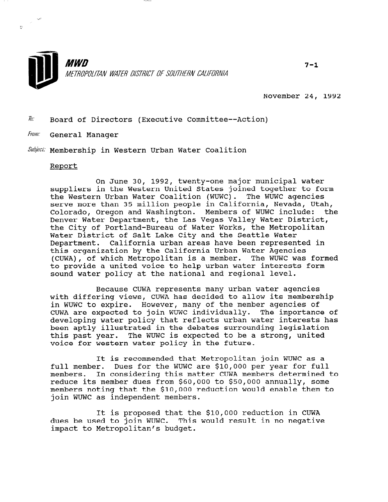

November 24, 1992

 $\bar{h}$ : Board of Directors (Executive Committee--Action)

From: General Manager

Subject: Membership in Western Urban Water Coalition

## Report

On June 30, 1992, twenty-one major municipal water suppliers in the Western United States joined together to form the Western Urban Water Coalition (WUWC). The WUWC agencies serve more than 35 million people in California, Nevada, Utah, Colorado, Oregon and Washington. Members of WUWC include: the Denver Water Department, the Las Vegas Valley Water District, the City of Portland-Bureau of Water Works, the Metropolitan Water District of Salt Lake City and the Seattle Water Department. California urban areas have been represented in this organization by the California Urban Water Agencies (CUWA), of which Metropolitan is a member. The WUWC was formed to provide a united voice to help urban water interests form sound water policy at the national and regional level.

Because CUWA represents many urban water agencies with differing views, CUWA has decided to allow its membership in WUWC to expire. However, many of the member agencies of CUWA are expected to join WUWC individually. The importance of developing water policy that reflects urban water interests has been aptly illustrated in the debates surrounding legislation this past year. The WUWC is expected to be a strong, united voice for western water policy in the future.

It is recommended that Metropolitan join WUWC as a full member. Dues for the WUWC are \$10,000 per year for full members. In considering this matter CUWA members determined to reduce its member dues from \$60,000 to \$50,000 annually, some members noting that the \$10,000 reduction would enable them to members noting that the sid, over

It is proposed that the \$10,000 reduction in CUWA dues proposed that the sid, our reduction in the dues be used to join WUWC. This would result in no negative impact to Metropolitan's budget.

 $7 - 1$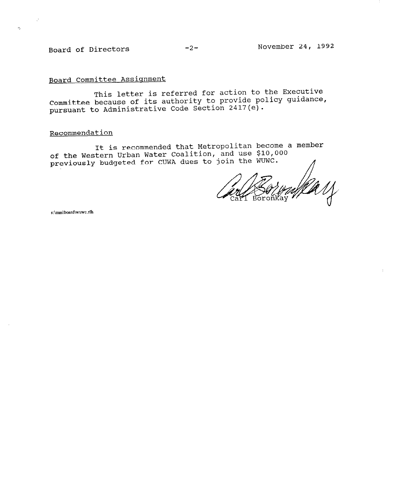Board of Directors -2- November 24, 1992

 $\sim 10^6$ 

 $\mathfrak{c}\mathfrak{d}_n$ 

Board Committee Assignment

This letter is referred for action to the Executive Committee because of its authority to provide policy guidance, pursuant to Administrative Code Section 2417(e).

## Recommendation

It is recommended that Metropolitan become a member of the Western Urban Water Coalition, and use  $\boldsymbol{\mathfrak{sp}}$  00 previously budgeted for CUWA dues to join the WUWC.  $\qquad\qquad\qquad$ 

Ka 11

s:\mm\board\wuwc.rlh